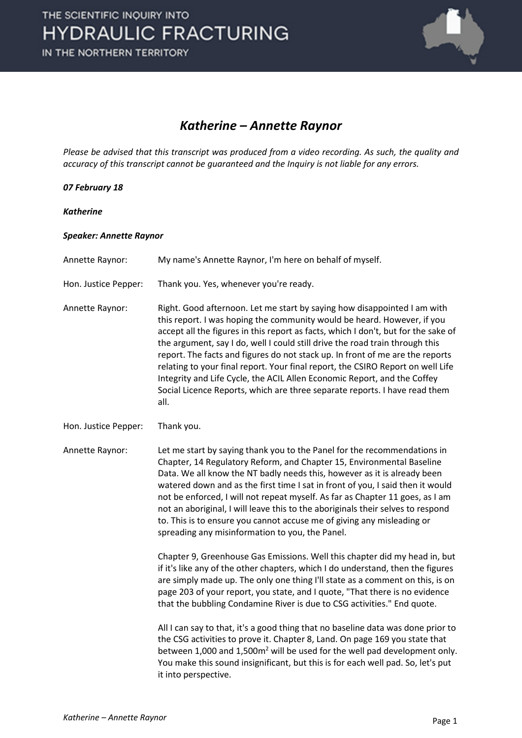

## *Katherine – Annette Raynor*

*Please be advised that this transcript was produced from a video recording. As such, the quality and accuracy of this transcript cannot be guaranteed and the Inquiry is not liable for any errors.*

## *07 February 18*

*Katherine*

## *Speaker: Annette Raynor*

Annette Raynor: My name's Annette Raynor, I'm here on behalf of myself.

Hon. Justice Pepper: Thank you. Yes, whenever you're ready.

Annette Raynor: Right. Good afternoon. Let me start by saying how disappointed I am with this report. I was hoping the community would be heard. However, if you accept all the figures in this report as facts, which I don't, but for the sake of the argument, say I do, well I could still drive the road train through this report. The facts and figures do not stack up. In front of me are the reports relating to your final report. Your final report, the CSIRO Report on well Life Integrity and Life Cycle, the ACIL Allen Economic Report, and the Coffey Social Licence Reports, which are three separate reports. I have read them all.

Hon. Justice Pepper: Thank you.

Annette Raynor: Let me start by saying thank you to the Panel for the recommendations in Chapter, 14 Regulatory Reform, and Chapter 15, Environmental Baseline Data. We all know the NT badly needs this, however as it is already been watered down and as the first time I sat in front of you, I said then it would not be enforced, I will not repeat myself. As far as Chapter 11 goes, as I am not an aboriginal, I will leave this to the aboriginals their selves to respond to. This is to ensure you cannot accuse me of giving any misleading or spreading any misinformation to you, the Panel.

> Chapter 9, Greenhouse Gas Emissions. Well this chapter did my head in, but if it's like any of the other chapters, which I do understand, then the figures are simply made up. The only one thing I'll state as a comment on this, is on page 203 of your report, you state, and I quote, "That there is no evidence that the bubbling Condamine River is due to CSG activities." End quote.

> All I can say to that, it's a good thing that no baseline data was done prior to the CSG activities to prove it. Chapter 8, Land. On page 169 you state that between 1,000 and 1,500m2 will be used for the well pad development only. You make this sound insignificant, but this is for each well pad. So, let's put it into perspective.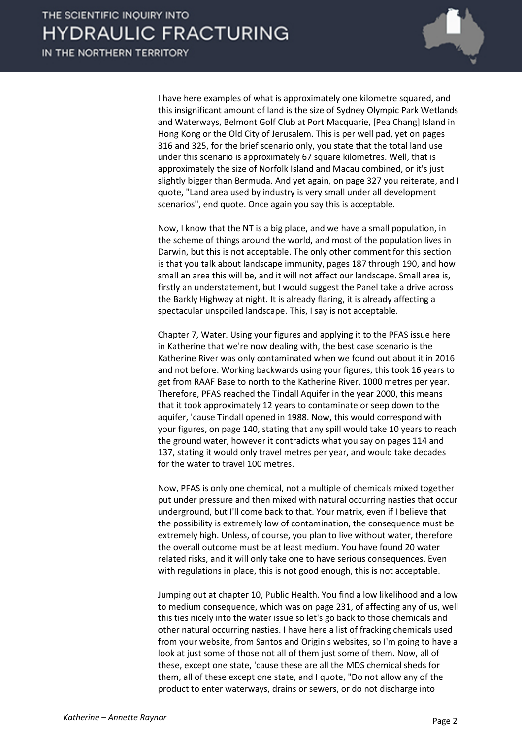

I have here examples of what is approximately one kilometre squared, and this insignificant amount of land is the size of Sydney Olympic Park Wetlands and Waterways, Belmont Golf Club at Port Macquarie, [Pea Chang] Island in Hong Kong or the Old City of Jerusalem. This is per well pad, yet on pages 316 and 325, for the brief scenario only, you state that the total land use under this scenario is approximately 67 square kilometres. Well, that is approximately the size of Norfolk Island and Macau combined, or it's just slightly bigger than Bermuda. And yet again, on page 327 you reiterate, and I quote, "Land area used by industry is very small under all development scenarios", end quote. Once again you say this is acceptable.

Now, I know that the NT is a big place, and we have a small population, in the scheme of things around the world, and most of the population lives in Darwin, but this is not acceptable. The only other comment for this section is that you talk about landscape immunity, pages 187 through 190, and how small an area this will be, and it will not affect our landscape. Small area is, firstly an understatement, but I would suggest the Panel take a drive across the Barkly Highway at night. It is already flaring, it is already affecting a spectacular unspoiled landscape. This, I say is not acceptable.

Chapter 7, Water. Using your figures and applying it to the PFAS issue here in Katherine that we're now dealing with, the best case scenario is the Katherine River was only contaminated when we found out about it in 2016 and not before. Working backwards using your figures, this took 16 years to get from RAAF Base to north to the Katherine River, 1000 metres per year. Therefore, PFAS reached the Tindall Aquifer in the year 2000, this means that it took approximately 12 years to contaminate or seep down to the aquifer, 'cause Tindall opened in 1988. Now, this would correspond with your figures, on page 140, stating that any spill would take 10 years to reach the ground water, however it contradicts what you say on pages 114 and 137, stating it would only travel metres per year, and would take decades for the water to travel 100 metres.

Now, PFAS is only one chemical, not a multiple of chemicals mixed together put under pressure and then mixed with natural occurring nasties that occur underground, but I'll come back to that. Your matrix, even if I believe that the possibility is extremely low of contamination, the consequence must be extremely high. Unless, of course, you plan to live without water, therefore the overall outcome must be at least medium. You have found 20 water related risks, and it will only take one to have serious consequences. Even with regulations in place, this is not good enough, this is not acceptable.

Jumping out at chapter 10, Public Health. You find a low likelihood and a low to medium consequence, which was on page 231, of affecting any of us, well this ties nicely into the water issue so let's go back to those chemicals and other natural occurring nasties. I have here a list of fracking chemicals used from your website, from Santos and Origin's websites, so I'm going to have a look at just some of those not all of them just some of them. Now, all of these, except one state, 'cause these are all the MDS chemical sheds for them, all of these except one state, and I quote, "Do not allow any of the product to enter waterways, drains or sewers, or do not discharge into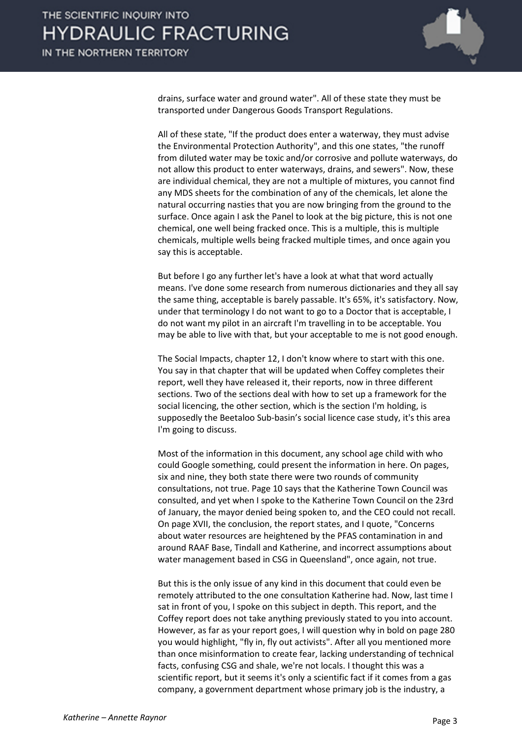

drains, surface water and ground water". All of these state they must be transported under Dangerous Goods Transport Regulations.

All of these state, "If the product does enter a waterway, they must advise the Environmental Protection Authority", and this one states, "the runoff from diluted water may be toxic and/or corrosive and pollute waterways, do not allow this product to enter waterways, drains, and sewers". Now, these are individual chemical, they are not a multiple of mixtures, you cannot find any MDS sheets for the combination of any of the chemicals, let alone the natural occurring nasties that you are now bringing from the ground to the surface. Once again I ask the Panel to look at the big picture, this is not one chemical, one well being fracked once. This is a multiple, this is multiple chemicals, multiple wells being fracked multiple times, and once again you say this is acceptable.

But before I go any further let's have a look at what that word actually means. I've done some research from numerous dictionaries and they all say the same thing, acceptable is barely passable. It's 65%, it's satisfactory. Now, under that terminology I do not want to go to a Doctor that is acceptable, I do not want my pilot in an aircraft I'm travelling in to be acceptable. You may be able to live with that, but your acceptable to me is not good enough.

The Social Impacts, chapter 12, I don't know where to start with this one. You say in that chapter that will be updated when Coffey completes their report, well they have released it, their reports, now in three different sections. Two of the sections deal with how to set up a framework for the social licencing, the other section, which is the section I'm holding, is supposedly the Beetaloo Sub-basin's social licence case study, it's this area I'm going to discuss.

Most of the information in this document, any school age child with who could Google something, could present the information in here. On pages, six and nine, they both state there were two rounds of community consultations, not true. Page 10 says that the Katherine Town Council was consulted, and yet when I spoke to the Katherine Town Council on the 23rd of January, the mayor denied being spoken to, and the CEO could not recall. On page XVII, the conclusion, the report states, and I quote, "Concerns about water resources are heightened by the PFAS contamination in and around RAAF Base, Tindall and Katherine, and incorrect assumptions about water management based in CSG in Queensland", once again, not true.

But this is the only issue of any kind in this document that could even be remotely attributed to the one consultation Katherine had. Now, last time I sat in front of you, I spoke on this subject in depth. This report, and the Coffey report does not take anything previously stated to you into account. However, as far as your report goes, I will question why in bold on page 280 you would highlight, "fly in, fly out activists". After all you mentioned more than once misinformation to create fear, lacking understanding of technical facts, confusing CSG and shale, we're not locals. I thought this was a scientific report, but it seems it's only a scientific fact if it comes from a gas company, a government department whose primary job is the industry, a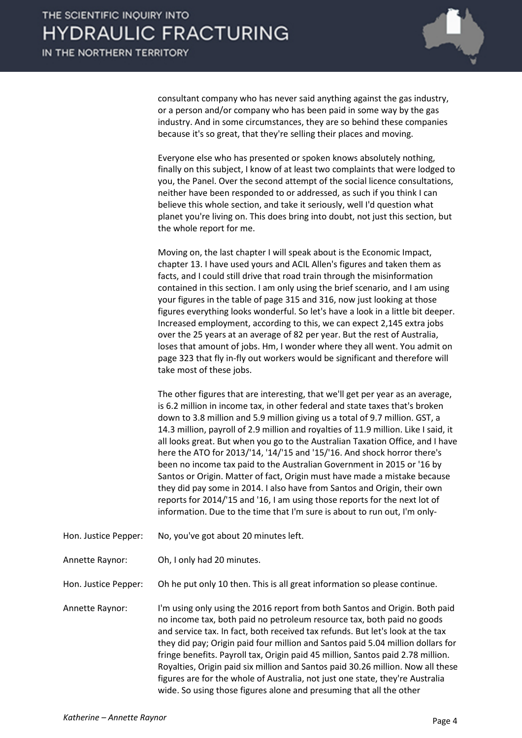

consultant company who has never said anything against the gas industry, or a person and/or company who has been paid in some way by the gas industry. And in some circumstances, they are so behind these companies because it's so great, that they're selling their places and moving.

Everyone else who has presented or spoken knows absolutely nothing, finally on this subject, I know of at least two complaints that were lodged to you, the Panel. Over the second attempt of the social licence consultations, neither have been responded to or addressed, as such if you think I can believe this whole section, and take it seriously, well I'd question what planet you're living on. This does bring into doubt, not just this section, but the whole report for me.

Moving on, the last chapter I will speak about is the Economic Impact, chapter 13. I have used yours and ACIL Allen's figures and taken them as facts, and I could still drive that road train through the misinformation contained in this section. I am only using the brief scenario, and I am using your figures in the table of page 315 and 316, now just looking at those figures everything looks wonderful. So let's have a look in a little bit deeper. Increased employment, according to this, we can expect 2,145 extra jobs over the 25 years at an average of 82 per year. But the rest of Australia, loses that amount of jobs. Hm, I wonder where they all went. You admit on page 323 that fly in-fly out workers would be significant and therefore will take most of these jobs.

The other figures that are interesting, that we'll get per year as an average, is 6.2 million in income tax, in other federal and state taxes that's broken down to 3.8 million and 5.9 million giving us a total of 9.7 million. GST, a 14.3 million, payroll of 2.9 million and royalties of 11.9 million. Like I said, it all looks great. But when you go to the Australian Taxation Office, and I have here the ATO for 2013/'14, '14/'15 and '15/'16. And shock horror there's been no income tax paid to the Australian Government in 2015 or '16 by Santos or Origin. Matter of fact, Origin must have made a mistake because they did pay some in 2014. I also have from Santos and Origin, their own reports for 2014/'15 and '16, I am using those reports for the next lot of information. Due to the time that I'm sure is about to run out, I'm only-

- Hon. Justice Pepper: No, you've got about 20 minutes left.
- Annette Raynor: Oh, I only had 20 minutes.

Hon. Justice Pepper: Oh he put only 10 then. This is all great information so please continue.

Annette Raynor: I'm using only using the 2016 report from both Santos and Origin. Both paid no income tax, both paid no petroleum resource tax, both paid no goods and service tax. In fact, both received tax refunds. But let's look at the tax they did pay; Origin paid four million and Santos paid 5.04 million dollars for fringe benefits. Payroll tax, Origin paid 45 million, Santos paid 2.78 million. Royalties, Origin paid six million and Santos paid 30.26 million. Now all these figures are for the whole of Australia, not just one state, they're Australia wide. So using those figures alone and presuming that all the other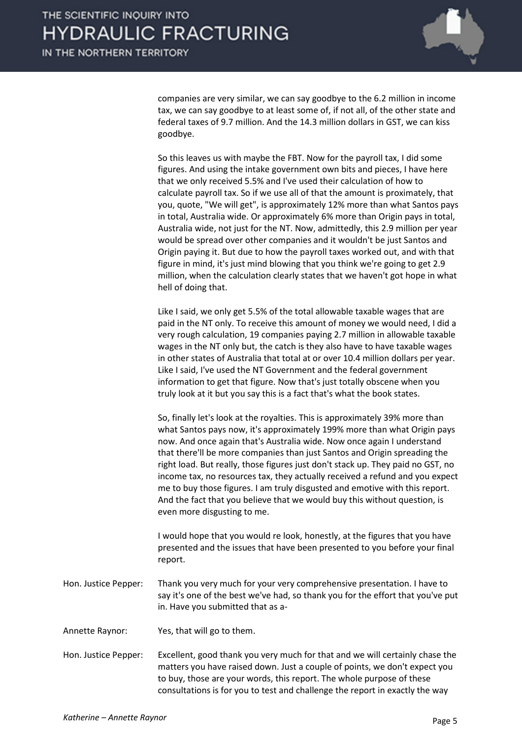

companies are very similar, we can say goodbye to the 6.2 million in income tax, we can say goodbye to at least some of, if not all, of the other state and federal taxes of 9.7 million. And the 14.3 million dollars in GST, we can kiss goodbye.

So this leaves us with maybe the FBT. Now for the payroll tax, I did some figures. And using the intake government own bits and pieces, I have here that we only received 5.5% and I've used their calculation of how to calculate payroll tax. So if we use all of that the amount is proximately, that you, quote, "We will get", is approximately 12% more than what Santos pays in total, Australia wide. Or approximately 6% more than Origin pays in total, Australia wide, not just for the NT. Now, admittedly, this 2.9 million per year would be spread over other companies and it wouldn't be just Santos and Origin paying it. But due to how the payroll taxes worked out, and with that figure in mind, it's just mind blowing that you think we're going to get 2.9 million, when the calculation clearly states that we haven't got hope in what hell of doing that.

Like I said, we only get 5.5% of the total allowable taxable wages that are paid in the NT only. To receive this amount of money we would need, I did a very rough calculation, 19 companies paying 2.7 million in allowable taxable wages in the NT only but, the catch is they also have to have taxable wages in other states of Australia that total at or over 10.4 million dollars per year. Like I said, I've used the NT Government and the federal government information to get that figure. Now that's just totally obscene when you truly look at it but you say this is a fact that's what the book states.

So, finally let's look at the royalties. This is approximately 39% more than what Santos pays now, it's approximately 199% more than what Origin pays now. And once again that's Australia wide. Now once again I understand that there'll be more companies than just Santos and Origin spreading the right load. But really, those figures just don't stack up. They paid no GST, no income tax, no resources tax, they actually received a refund and you expect me to buy those figures. I am truly disgusted and emotive with this report. And the fact that you believe that we would buy this without question, is even more disgusting to me.

I would hope that you would re look, honestly, at the figures that you have presented and the issues that have been presented to you before your final report.

- Hon. Justice Pepper: Thank you very much for your very comprehensive presentation. I have to say it's one of the best we've had, so thank you for the effort that you've put in. Have you submitted that as a-
- Annette Raynor: Yes, that will go to them.
- Hon. Justice Pepper: Excellent, good thank you very much for that and we will certainly chase the matters you have raised down. Just a couple of points, we don't expect you to buy, those are your words, this report. The whole purpose of these consultations is for you to test and challenge the report in exactly the way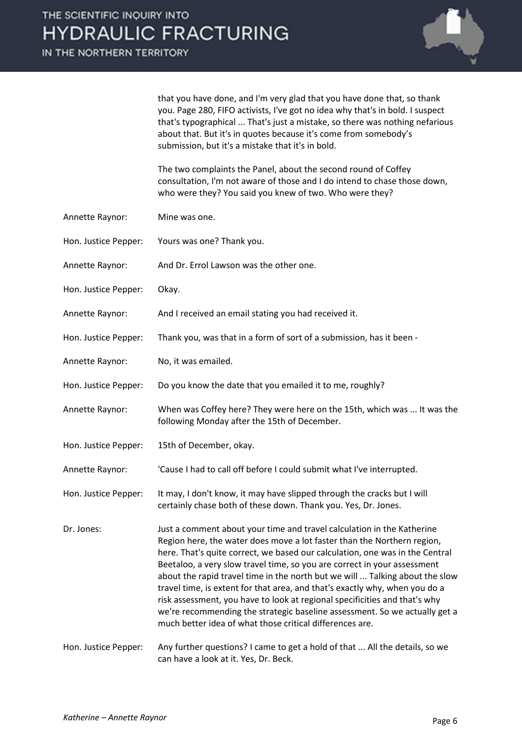IN THE NORTHERN TERRITORY



that you have done, and I'm very glad that you have done that, so thank you. Page 280, FIFO activists, I've got no idea why that's in bold. I suspect that's typographical ... That's just a mistake, so there was nothing nefarious about that. But it's in quotes because it's come from somebody's submission, but it's a mistake that it's in bold.

The two complaints the Panel, about the second round of Coffey consultation, I'm not aware of those and I do intend to chase those down, who were they? You said you knew of two. Who were they?

- Annette Raynor: Mine was one.
- Hon. Justice Pepper: Yours was one? Thank you.
- Annette Raynor: And Dr. Errol Lawson was the other one.
- Hon. Justice Pepper: Okay.
- Annette Raynor: And I received an email stating you had received it.
- Hon. Justice Pepper: Thank you, was that in a form of sort of a submission, has it been -
- Annette Raynor: No, it was emailed.
- Hon. Justice Pepper: Do you know the date that you emailed it to me, roughly?
- Annette Raynor: When was Coffey here? They were here on the 15th, which was ... It was the following Monday after the 15th of December.
- Hon. Justice Pepper: 15th of December, okay.

Annette Raynor: 'Cause I had to call off before I could submit what I've interrupted.

- Hon. Justice Pepper: It may, I don't know, it may have slipped through the cracks but I will certainly chase both of these down. Thank you. Yes, Dr. Jones.
- Dr. Jones: Just a comment about your time and travel calculation in the Katherine Region here, the water does move a lot faster than the Northern region, here. That's quite correct, we based our calculation, one was in the Central Beetaloo, a very slow travel time, so you are correct in your assessment about the rapid travel time in the north but we will ... Talking about the slow travel time, is extent for that area, and that's exactly why, when you do a risk assessment, you have to look at regional specificities and that's why we're recommending the strategic baseline assessment. So we actually get a much better idea of what those critical differences are.
- Hon. Justice Pepper: Any further questions? I came to get a hold of that ... All the details, so we can have a look at it. Yes, Dr. Beck.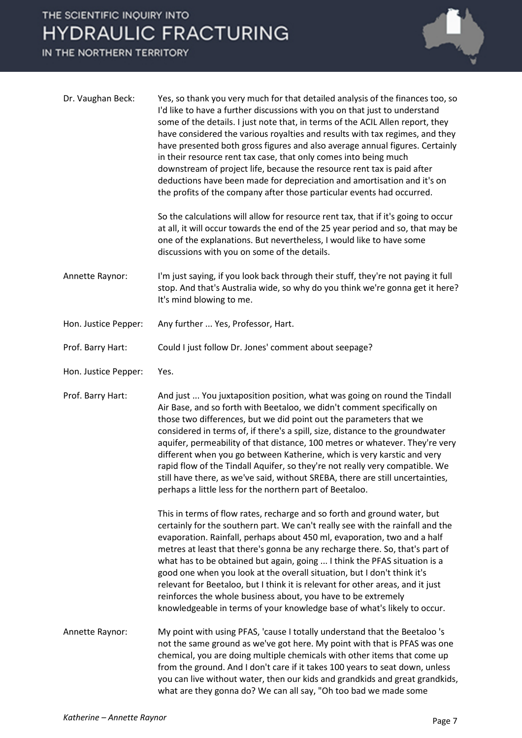## THE SCIENTIFIC INQUIRY INTO **HYDRAULIC FRACTURING**

IN THE NORTHERN TERRITORY



| Dr. Vaughan Beck:    | Yes, so thank you very much for that detailed analysis of the finances too, so<br>I'd like to have a further discussions with you on that just to understand<br>some of the details. I just note that, in terms of the ACIL Allen report, they<br>have considered the various royalties and results with tax regimes, and they<br>have presented both gross figures and also average annual figures. Certainly<br>in their resource rent tax case, that only comes into being much<br>downstream of project life, because the resource rent tax is paid after<br>deductions have been made for depreciation and amortisation and it's on<br>the profits of the company after those particular events had occurred. |
|----------------------|--------------------------------------------------------------------------------------------------------------------------------------------------------------------------------------------------------------------------------------------------------------------------------------------------------------------------------------------------------------------------------------------------------------------------------------------------------------------------------------------------------------------------------------------------------------------------------------------------------------------------------------------------------------------------------------------------------------------|
|                      | So the calculations will allow for resource rent tax, that if it's going to occur<br>at all, it will occur towards the end of the 25 year period and so, that may be<br>one of the explanations. But nevertheless, I would like to have some<br>discussions with you on some of the details.                                                                                                                                                                                                                                                                                                                                                                                                                       |
| Annette Raynor:      | I'm just saying, if you look back through their stuff, they're not paying it full<br>stop. And that's Australia wide, so why do you think we're gonna get it here?<br>It's mind blowing to me.                                                                                                                                                                                                                                                                                                                                                                                                                                                                                                                     |
| Hon. Justice Pepper: | Any further  Yes, Professor, Hart.                                                                                                                                                                                                                                                                                                                                                                                                                                                                                                                                                                                                                                                                                 |
| Prof. Barry Hart:    | Could I just follow Dr. Jones' comment about seepage?                                                                                                                                                                                                                                                                                                                                                                                                                                                                                                                                                                                                                                                              |
| Hon. Justice Pepper: | Yes.                                                                                                                                                                                                                                                                                                                                                                                                                                                                                                                                                                                                                                                                                                               |
| Prof. Barry Hart:    | And just  You juxtaposition position, what was going on round the Tindall<br>Air Base, and so forth with Beetaloo, we didn't comment specifically on<br>those two differences, but we did point out the parameters that we<br>considered in terms of, if there's a spill, size, distance to the groundwater<br>aquifer, permeability of that distance, 100 metres or whatever. They're very<br>different when you go between Katherine, which is very karstic and very<br>rapid flow of the Tindall Aquifer, so they're not really very compatible. We<br>still have there, as we've said, without SREBA, there are still uncertainties,<br>perhaps a little less for the northern part of Beetaloo.               |
|                      | This in terms of flow rates, recharge and so forth and ground water, but<br>certainly for the southern part. We can't really see with the rainfall and the<br>evaporation. Rainfall, perhaps about 450 ml, evaporation, two and a half<br>metres at least that there's gonna be any recharge there. So, that's part of<br>what has to be obtained but again, going  I think the PFAS situation is a<br>good one when you look at the overall situation, but I don't think it's<br>relevant for Beetaloo, but I think it is relevant for other areas, and it just<br>reinforces the whole business about, you have to be extremely<br>knowledgeable in terms of your knowledge base of what's likely to occur.      |
| Annette Raynor:      | My point with using PFAS, 'cause I totally understand that the Beetaloo 's<br>not the same ground as we've got here. My point with that is PFAS was one<br>chemical, you are doing multiple chemicals with other items that come up<br>from the ground. And I don't care if it takes 100 years to seat down, unless<br>you can live without water, then our kids and grandkids and great grandkids,<br>what are they gonna do? We can all say, "Oh too bad we made some                                                                                                                                                                                                                                            |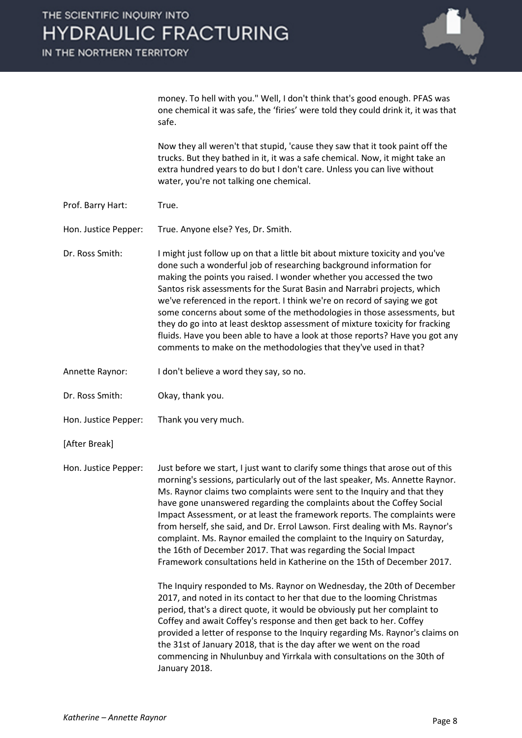IN THE NORTHERN TERRITORY



money. To hell with you." Well, I don't think that's good enough. PFAS was one chemical it was safe, the 'firies' were told they could drink it, it was that safe.

Now they all weren't that stupid, 'cause they saw that it took paint off the trucks. But they bathed in it, it was a safe chemical. Now, it might take an extra hundred years to do but I don't care. Unless you can live without water, you're not talking one chemical.

Prof. Barry Hart: True.

Hon. Justice Pepper: True. Anyone else? Yes, Dr. Smith.

Dr. Ross Smith: I might just follow up on that a little bit about mixture toxicity and you've done such a wonderful job of researching background information for making the points you raised. I wonder whether you accessed the two Santos risk assessments for the Surat Basin and Narrabri projects, which we've referenced in the report. I think we're on record of saying we got some concerns about some of the methodologies in those assessments, but they do go into at least desktop assessment of mixture toxicity for fracking fluids. Have you been able to have a look at those reports? Have you got any comments to make on the methodologies that they've used in that?

- Annette Raynor: I don't believe a word they say, so no.
- Dr. Ross Smith: Okay, thank you.
- Hon. Justice Pepper: Thank you very much.
- [After Break]

Hon. Justice Pepper: Just before we start, I just want to clarify some things that arose out of this morning's sessions, particularly out of the last speaker, Ms. Annette Raynor. Ms. Raynor claims two complaints were sent to the Inquiry and that they have gone unanswered regarding the complaints about the Coffey Social Impact Assessment, or at least the framework reports. The complaints were from herself, she said, and Dr. Errol Lawson. First dealing with Ms. Raynor's complaint. Ms. Raynor emailed the complaint to the Inquiry on Saturday, the 16th of December 2017. That was regarding the Social Impact Framework consultations held in Katherine on the 15th of December 2017.

> The Inquiry responded to Ms. Raynor on Wednesday, the 20th of December 2017, and noted in its contact to her that due to the looming Christmas period, that's a direct quote, it would be obviously put her complaint to Coffey and await Coffey's response and then get back to her. Coffey provided a letter of response to the Inquiry regarding Ms. Raynor's claims on the 31st of January 2018, that is the day after we went on the road commencing in Nhulunbuy and Yirrkala with consultations on the 30th of January 2018.